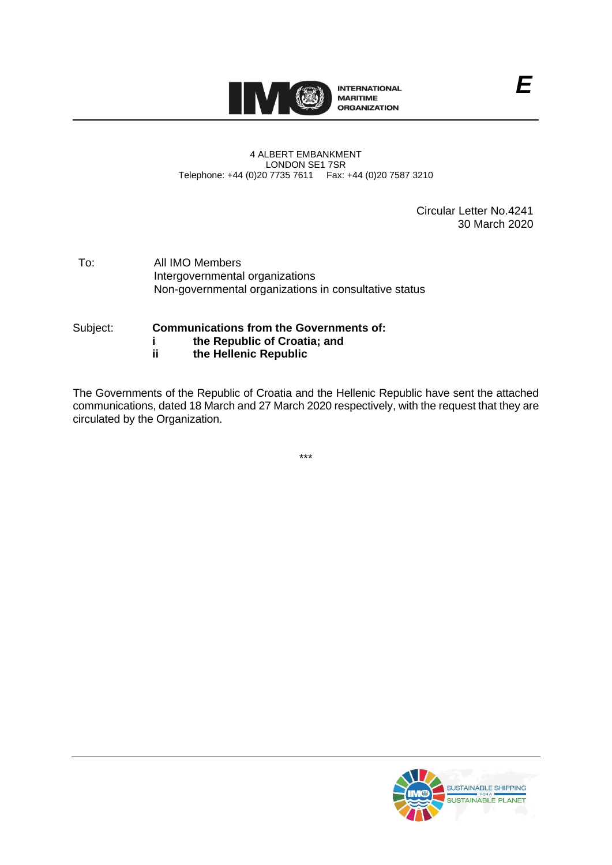

#### 4 ALBERT EMBANKMENT LONDON SE1 7SR Telephone: +44 (0)20 7735 7611 Fax: +44 (0)20 7587 3210

Circular Letter No.4241 30 March 2020

- To: All IMO Members Intergovernmental organizations Non-governmental organizations in consultative status
- Subject: **Communications from the Governments of: i the Republic of Croatia; and**
	- **ii the Hellenic Republic**

The Governments of the Republic of Croatia and the Hellenic Republic have sent the attached communications, dated 18 March and 27 March 2020 respectively, with the request that they are circulated by the Organization.

\*\*\*



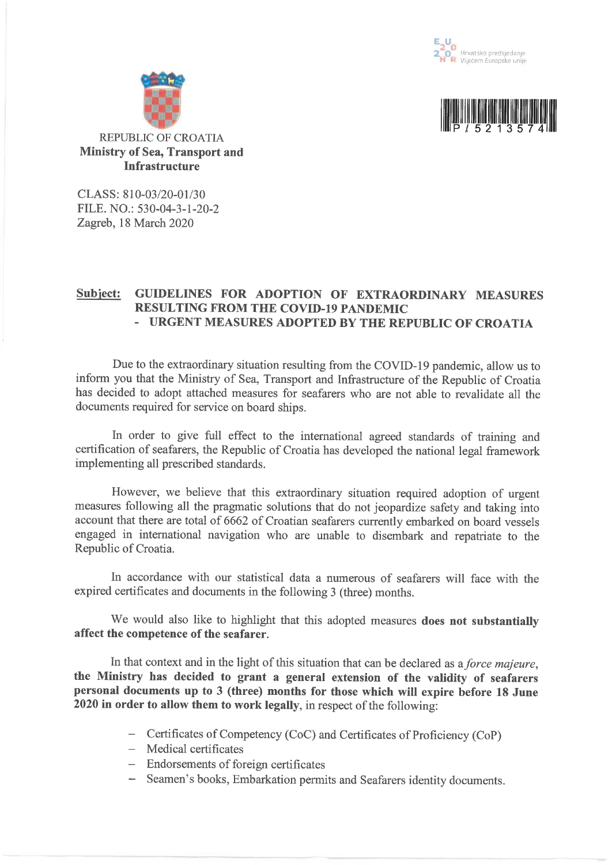





CLASS: 810-03/20-01/30 FILE, NO.: 530-04-3-1-20-2 Zagreb, 18 March 2020

#### GUIDELINES FOR ADOPTION OF EXTRAORDINARY MEASURES **Subject: RESULTING FROM THE COVID-19 PANDEMIC** - URGENT MEASURES ADOPTED BY THE REPUBLIC OF CROATIA

Due to the extraordinary situation resulting from the COVID-19 pandemic, allow us to inform you that the Ministry of Sea, Transport and Infrastructure of the Republic of Croatia has decided to adopt attached measures for seafarers who are not able to revalidate all the documents required for service on board ships.

In order to give full effect to the international agreed standards of training and certification of seafarers, the Republic of Croatia has developed the national legal framework implementing all prescribed standards.

However, we believe that this extraordinary situation required adoption of urgent measures following all the pragmatic solutions that do not jeopardize safety and taking into account that there are total of 6662 of Croatian seafarers currently embarked on board vessels engaged in international navigation who are unable to disembark and repatriate to the Republic of Croatia.

In accordance with our statistical data a numerous of seafarers will face with the expired certificates and documents in the following 3 (three) months.

We would also like to highlight that this adopted measures does not substantially affect the competence of the seafarer.

In that context and in the light of this situation that can be declared as a force majeure, the Ministry has decided to grant a general extension of the validity of seafarers personal documents up to 3 (three) months for those which will expire before 18 June 2020 in order to allow them to work legally, in respect of the following:

- Certificates of Competency (CoC) and Certificates of Proficiency (CoP)
- Medical certificates
- Endorsements of foreign certificates
- Seamen's books, Embarkation permits and Seafarers identity documents.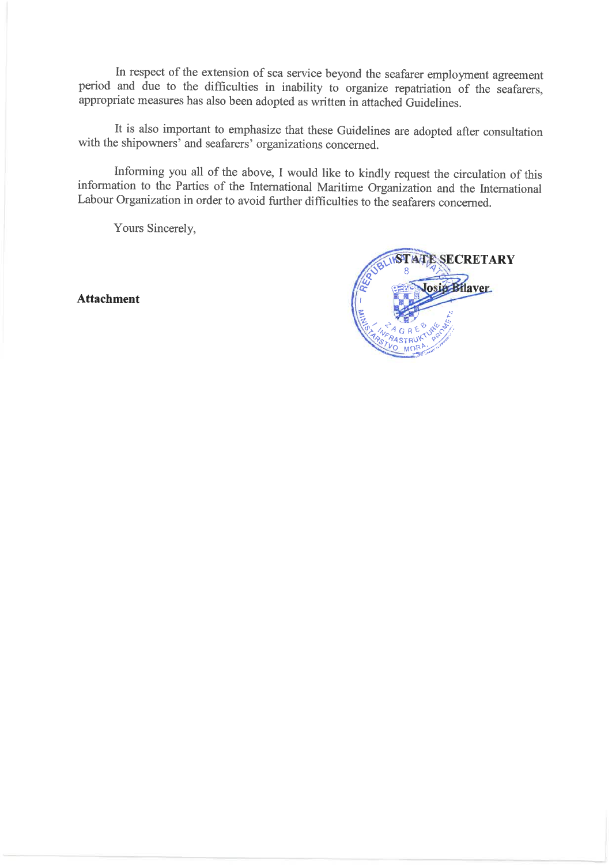In respect of the extension of sea service beyond the seafarer employment agreement period and due to the difficulties in inability to organize repatriation of the seafarers, appropriate measures has also been adopted as written in attached Guidelines.

It is also important to emphasize that these Guidelines are adopted after consultation with the shipowners' and seafarers' organizations concerned.

Informing you all of the above, I would like to kindly request the circulation of this information to the Parties of the International Maritime Organization and the International Labour Organization in order to avoid further difficulties to the seafarers concerned.

Yours Sincerely,

**Attachment** 

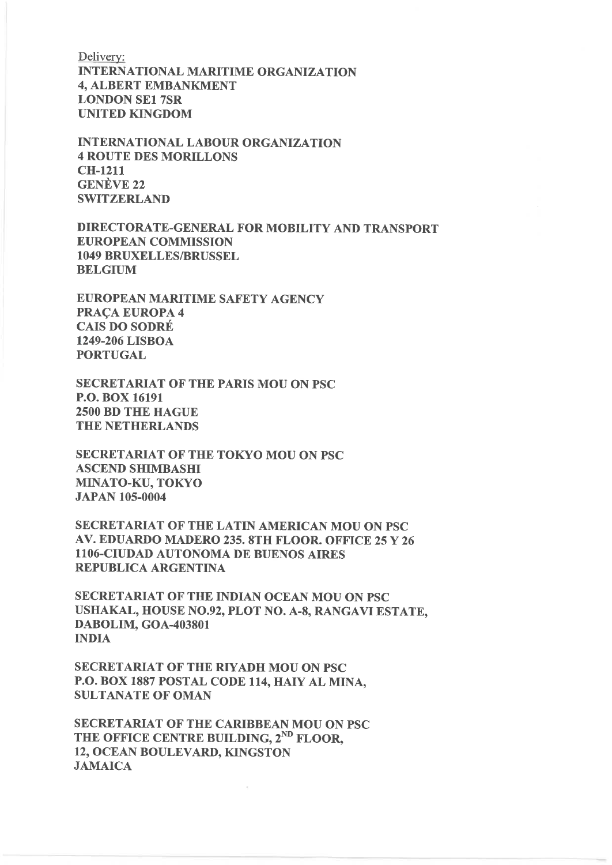Delivery: **INTERNATIONAL MARITIME ORGANIZATION 4. ALBERT EMBANKMENT LONDON SE1 7SR UNITED KINGDOM** 

**INTERNATIONAL LABOUR ORGANIZATION 4 ROUTE DES MORILLONS CH-1211 GENÈVE 22 SWITZERLAND** 

DIRECTORATE-GENERAL FOR MOBILITY AND TRANSPORT **EUROPEAN COMMISSION 1049 BRUXELLES/BRUSSEL BELGIUM** 

**EUROPEAN MARITIME SAFETY AGENCY PRACA EUROPA 4 CAIS DO SODRÉ** 1249-206 LISBOA **PORTUGAL** 

**SECRETARIAT OF THE PARIS MOU ON PSC** P.O. BOX 16191 **2500 BD THE HAGUE THE NETHERLANDS** 

**SECRETARIAT OF THE TOKYO MOU ON PSC ASCEND SHIMBASHI** MINATO-KU, TOKYO **JAPAN 105-0004** 

SECRETARIAT OF THE LATIN AMERICAN MOU ON PSC AV. EDUARDO MADERO 235. 8TH FLOOR. OFFICE 25 Y 26 1106-CIUDAD AUTONOMA DE BUENOS AIRES **REPUBLICA ARGENTINA** 

**SECRETARIAT OF THE INDIAN OCEAN MOU ON PSC** USHAKAL, HOUSE NO.92, PLOT NO. A-8, RANGAVI ESTATE. DABOLIM, GOA-403801 **INDIA** 

**SECRETARIAT OF THE RIYADH MOU ON PSC** P.O. BOX 1887 POSTAL CODE 114, HAIY AL MINA, **SULTANATE OF OMAN** 

SECRETARIAT OF THE CARIBBEAN MOU ON PSC THE OFFICE CENTRE BUILDING, 2<sup>ND</sup> FLOOR, 12, OCEAN BOULEVARD, KINGSTON **JAMAICA**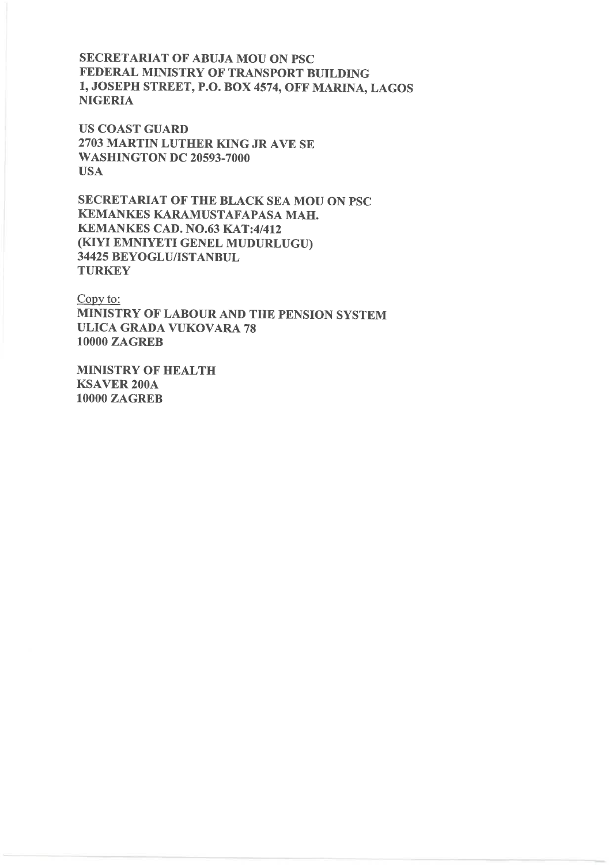**SECRETARIAT OF ABUJA MOU ON PSC** FEDERAL MINISTRY OF TRANSPORT BUILDING 1, JOSEPH STREET, P.O. BOX 4574, OFF MARINA, LAGOS **NIGERIA** 

**US COAST GUARD** 2703 MARTIN LUTHER KING JR AVE SE **WASHINGTON DC 20593-7000 USA** 

SECRETARIAT OF THE BLACK SEA MOU ON PSC KEMANKES KARAMUSTAFAPASA MAH. **KEMANKES CAD. NO.63 KAT:4/412** (KIYI EMNIYETI GENEL MUDURLUGU) 34425 BEYOGLU/ISTANBUL **TURKEY** 

Copy to: MINISTRY OF LABOUR AND THE PENSION SYSTEM **ULICA GRADA VUKOVARA 78 10000 ZAGREB** 

**MINISTRY OF HEALTH KSAVER 200A 10000 ZAGREB**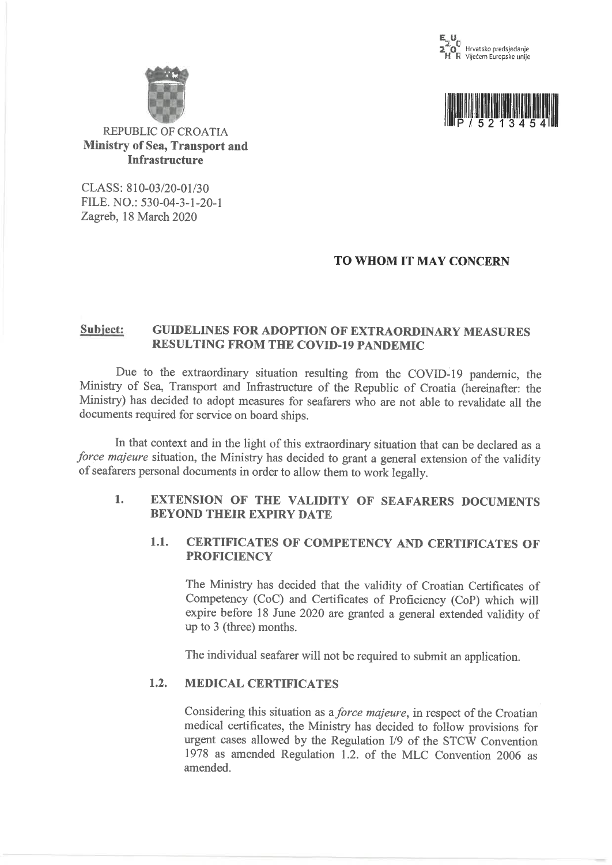





### **REPUBLIC OF CROATIA Ministry of Sea, Transport and Infrastructure**

CLASS: 810-03/20-01/30 FILE. NO.: 530-04-3-1-20-1 Zagreb, 18 March 2020

# TO WHOM IT MAY CONCERN

#### Subject: **GUIDELINES FOR ADOPTION OF EXTRAORDINARY MEASURES RESULTING FROM THE COVID-19 PANDEMIC**

Due to the extraordinary situation resulting from the COVID-19 pandemic, the Ministry of Sea, Transport and Infrastructure of the Republic of Croatia (hereinafter: the Ministry) has decided to adopt measures for seafarers who are not able to revalidate all the documents required for service on board ships.

In that context and in the light of this extraordinary situation that can be declared as a force majeure situation, the Ministry has decided to grant a general extension of the validity of seafarers personal documents in order to allow them to work legally.

#### EXTENSION OF THE VALIDITY OF SEAFARERS DOCUMENTS  $1.$ **BEYOND THEIR EXPIRY DATE**

#### $1.1.$ **CERTIFICATES OF COMPETENCY AND CERTIFICATES OF PROFICIENCY**

The Ministry has decided that the validity of Croatian Certificates of Competency (CoC) and Certificates of Proficiency (CoP) which will expire before 18 June 2020 are granted a general extended validity of up to 3 (three) months.

The individual seafarer will not be required to submit an application.

#### $1.2.$ **MEDICAL CERTIFICATES**

Considering this situation as a *force majeure*, in respect of the Croatian medical certificates, the Ministry has decided to follow provisions for urgent cases allowed by the Regulation I/9 of the STCW Convention 1978 as amended Regulation 1.2. of the MLC Convention 2006 as amended.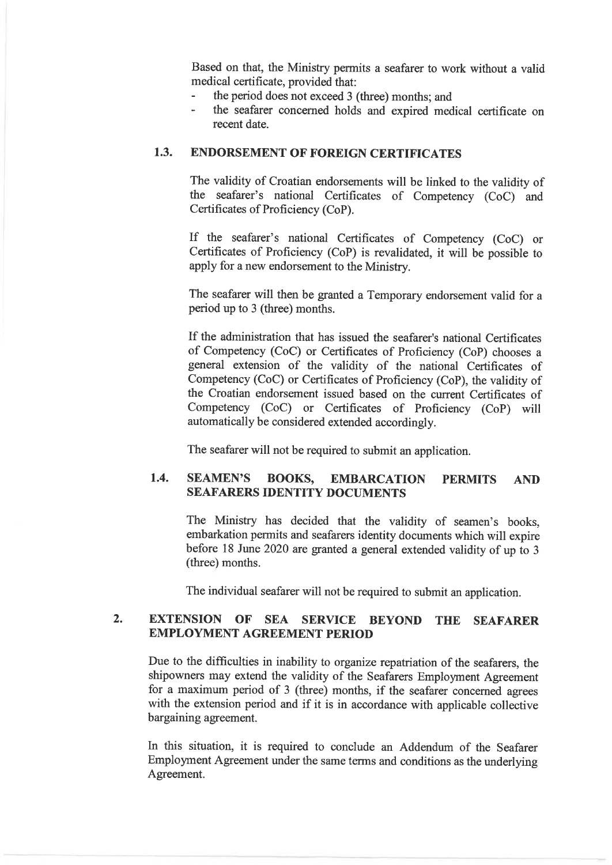Based on that, the Ministry permits a seafarer to work without a valid medical certificate, provided that:

- the period does not exceed 3 (three) months; and
- the seafarer concerned holds and expired medical certificate on  $\overline{a}$ recent date.

#### **ENDORSEMENT OF FOREIGN CERTIFICATES**  $1.3.$

The validity of Croatian endorsements will be linked to the validity of the seafarer's national Certificates of Competency (CoC) and Certificates of Proficiency (CoP).

If the seafarer's national Certificates of Competency (CoC) or Certificates of Proficiency (CoP) is revalidated, it will be possible to apply for a new endorsement to the Ministry.

The seafarer will then be granted a Temporary endorsement valid for a period up to 3 (three) months.

If the administration that has issued the seafarer's national Certificates of Competency (CoC) or Certificates of Proficiency (CoP) chooses a general extension of the validity of the national Certificates of Competency (CoC) or Certificates of Proficiency (CoP), the validity of the Croatian endorsement issued based on the current Certificates of Competency (CoC) or Certificates of Proficiency (CoP) will automatically be considered extended accordingly.

The seafarer will not be required to submit an application.

#### $1.4.$ **SEAMEN'S BOOKS. EMBARCATION PERMITS AND SEAFARERS IDENTITY DOCUMENTS**

The Ministry has decided that the validity of seamen's books, embarkation permits and seafarers identity documents which will expire before 18 June 2020 are granted a general extended validity of up to 3 (three) months.

The individual seafarer will not be required to submit an application.

#### $2.$ **EXTENSION OF SEA** SERVICE BEYOND **THE SEAFARER EMPLOYMENT AGREEMENT PERIOD**

Due to the difficulties in inability to organize repatriation of the seafarers, the shipowners may extend the validity of the Seafarers Employment Agreement for a maximum period of 3 (three) months, if the seafarer concerned agrees with the extension period and if it is in accordance with applicable collective bargaining agreement.

In this situation, it is required to conclude an Addendum of the Seafarer Employment Agreement under the same terms and conditions as the underlying Agreement.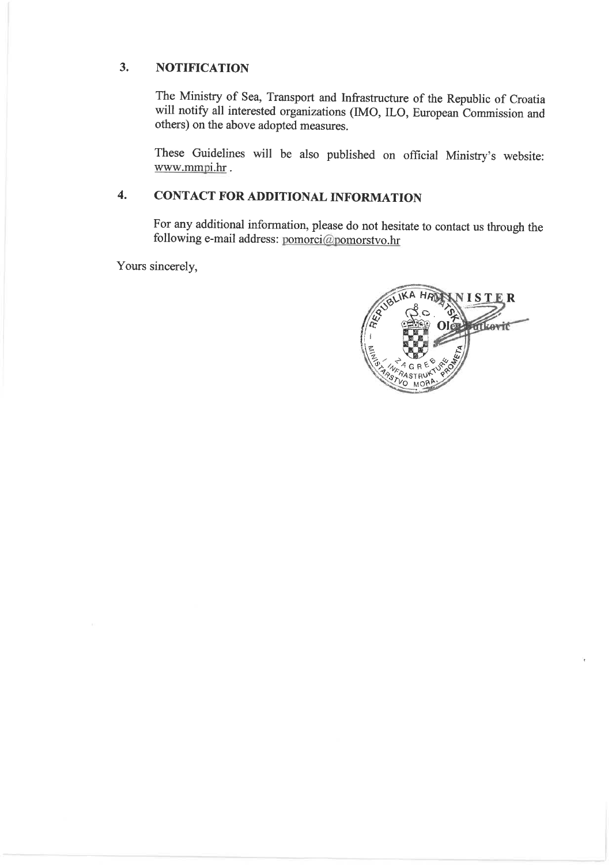#### $3.$ **NOTIFICATION**

The Ministry of Sea, Transport and Infrastructure of the Republic of Croatia will notify all interested organizations (IMO, ILO, European Commission and others) on the above adopted measures.

These Guidelines will be also published on official Ministry's website: www.mmpi.hr.

#### **CONTACT FOR ADDITIONAL INFORMATION**  $\overline{4}$ .

For any additional information, please do not hesitate to contact us through the following e-mail address: pomorci@pomorstvo.hr

Yours sincerely,

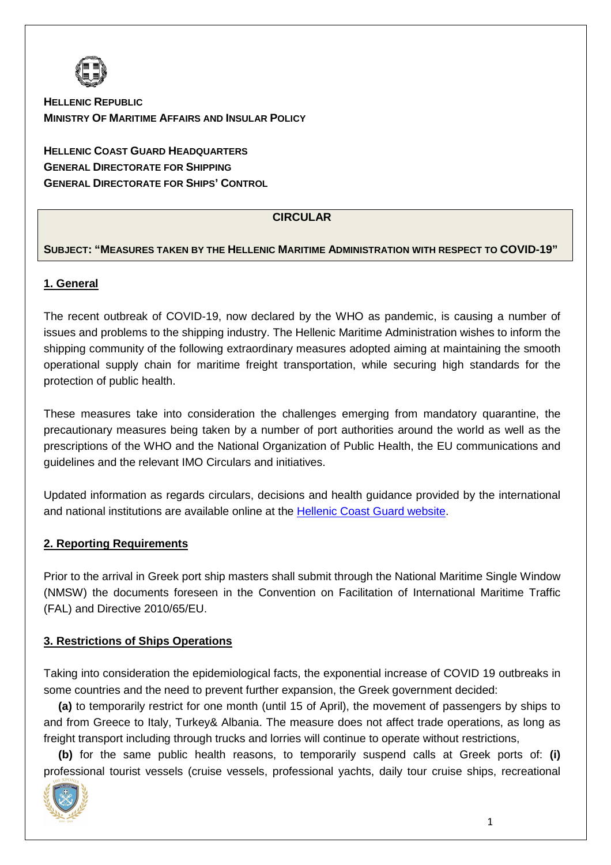

**HELLENIC REPUBLIC MINISTRY OF MARITIME AFFAIRS AND INSULAR POLICY**

**HELLENIC COAST GUARD HEADQUARTERS GENERAL DIRECTORATE FOR SHIPPING GENERAL DIRECTORATE FOR SHIPS' CONTROL**

## **CIRCULAR**

## **SUBJECT: "MEASURES TAKEN BY THE HELLENIC MARITIME ADMINISTRATION WITH RESPECT TO COVID-19"**

### **1. General**

The recent outbreak of COVID-19, now declared by the WHO as pandemic, is causing a number of issues and problems to the shipping industry. The Hellenic Maritime Administration wishes to inform the shipping community of the following extraordinary measures adopted aiming at maintaining the smooth operational supply chain for maritime freight transportation, while securing high standards for the protection of public health.

These measures take into consideration the challenges emerging from mandatory quarantine, the precautionary measures being taken by a number of port authorities around the world as well as the prescriptions of the WHO and the National Organization of Public Health, the EU communications and guidelines and the relevant IMO Circulars and initiatives.

Updated information as regards circulars, decisions and health guidance provided by the international and national institutions are available online at the Hellenic Coast Guard website.

#### **2. Reporting Requirements**

Prior to the arrival in Greek port ship masters shall submit through the National Maritime Single Window (NMSW) the documents foreseen in the Convention on Facilitation of International Maritime Traffic (FAL) and Directive 2010/65/EU.

## **3. Restrictions of Ships Operations**

Taking into consideration the epidemiological facts, the exponential increase of COVID 19 outbreaks in some countries and the need to prevent further expansion, the Greek government decided:

**(a)** to temporarily restrict for one month (until 15 of April), the movement of passengers by ships to and from Greece to Italy, Turkey& Albania. The measure does not affect trade operations, as long as freight transport including through trucks and lorries will continue to operate without restrictions,

**(b)** for the same public health reasons, to temporarily suspend calls at Greek ports of: **(i)**  professional tourist vessels (cruise vessels, professional yachts, daily tour cruise ships, recreational

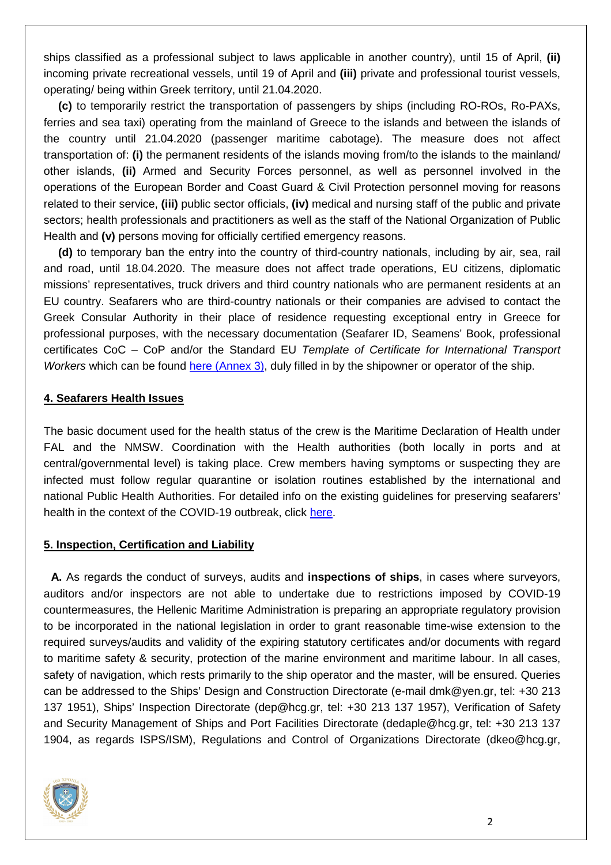ships classified as a professional subject to laws applicable in another country), until 15 of April, **(ii)**  incoming private recreational vessels, until 19 of April and **(iii)** private and professional tourist vessels, operating/ being within Greek territory, until 21.04.2020.

**(c)** to temporarily restrict the transportation of passengers by ships (including RO-ROs, Ro-PAXs, ferries and sea taxi) operating from the mainland of Greece to the islands and between the islands of the country until 21.04.2020 (passenger maritime cabotage). The measure does not affect transportation of: **(i)** the permanent residents of the islands moving from/to the islands to the mainland/ other islands, **(ii)** Armed and Security Forces personnel, as well as personnel involved in the operations of the European Border and Coast Guard & Civil Protection personnel moving for reasons related to their service, **(iii)** public sector officials, **(iv)** medical and nursing staff of the public and private sectors; health professionals and practitioners as well as the staff of the National Organization of Public Health and **(v)** persons moving for officially certified emergency reasons.

**(d)** to temporary ban the entry into the country of third-country nationals, including by air, sea, rail and road, until 18.04.2020. The measure does not affect trade operations, EU citizens, diplomatic missions' representatives, truck drivers and third country nationals who are permanent residents at an EU country. Seafarers who are third-country nationals or their companies are advised to contact the Greek Consular Authority in their place of residence requesting exceptional entry in Greece for professional purposes, with the necessary documentation (Seafarer ID, Seamens' Book, professional certificates CoC – CoP and/or the Standard EU Template of Certificate for International Transport Workers which can be found here (Annex 3), duly filled in by the shipowner or operator of the ship.

#### **4. Seafarers Health Issues**

The basic document used for the health status of the crew is the Maritime Declaration of Health under FAL and the NMSW. Coordination with the Health authorities (both locally in ports and at central/governmental level) is taking place. Crew members having symptoms or suspecting they are infected must follow regular quarantine or isolation routines established by the international and national Public Health Authorities. For detailed info on the existing guidelines for preserving seafarers' health in the context of the COVID-19 outbreak, click here.

#### **5. Inspection, Certification and Liability**

**A.** As regards the conduct of surveys, audits and **inspections of ships**, in cases where surveyors, auditors and/or inspectors are not able to undertake due to restrictions imposed by COVID-19 countermeasures, the Hellenic Maritime Administration is preparing an appropriate regulatory provision to be incorporated in the national legislation in order to grant reasonable time-wise extension to the required surveys/audits and validity of the expiring statutory certificates and/or documents with regard to maritime safety & security, protection of the marine environment and maritime labour. In all cases, safety of navigation, which rests primarily to the ship operator and the master, will be ensured. Queries can be addressed to the Ships' Design and Construction Directorate (e-mail dmk@yen.gr, tel: +30 213 137 1951), Ships' Inspection Directorate (dep@hcg.gr, tel: +30 213 137 1957), Verification of Safety and Security Management of Ships and Port Facilities Directorate (dedaple@hcg.gr, tel: +30 213 137 1904, as regards ISPS/ISM), Regulations and Control of Organizations Directorate (dkeo@hcg.gr,

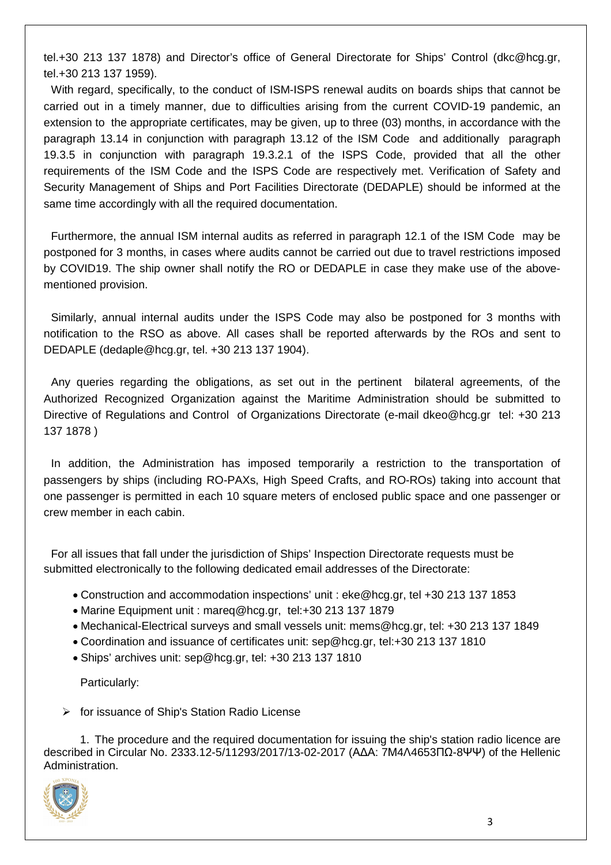tel.+30 213 137 1878) and Director's office of General Directorate for Ships' Control (dkc@hcg.gr, tel.+30 213 137 1959).

With regard, specifically, to the conduct of ISM-ISPS renewal audits on boards ships that cannot be carried out in a timely manner, due to difficulties arising from the current COVID-19 pandemic, an extension to the appropriate certificates, may be given, up to three (03) months, in accordance with the paragraph 13.14 in conjunction with paragraph 13.12 of the ISM Code and additionally paragraph 19.3.5 in conjunction with paragraph 19.3.2.1 of the ISPS Code, provided that all the other requirements of the ISM Code and the ISPS Code are respectively met. Verification of Safety and Security Management of Ships and Port Facilities Directorate (DEDAPLE) should be informed at the same time accordingly with all the required documentation.

Furthermore, the annual ISM internal audits as referred in paragraph 12.1 of the ISM Code may be postponed for 3 months, in cases where audits cannot be carried out due to travel restrictions imposed by COVID19. The ship owner shall notify the RO or DEDAPLE in case they make use of the abovementioned provision.

Similarly, annual internal audits under the ISPS Code may also be postponed for 3 months with notification to the RSO as above. All cases shall be reported afterwards by the ROs and sent to DEDAPLE (dedaple@hcg.gr, tel. +30 213 137 1904).

Any queries regarding the obligations, as set out in the pertinent bilateral agreements, of the Authorized Recognized Organization against the Maritime Administration should be submitted to Directive of Regulations and Control of Organizations Directorate (e-mail dkeo@hcg.gr tel: +30 213 137 1878 )

In addition, the Administration has imposed temporarily a restriction to the transportation of passengers by ships (including RO-PAXs, High Speed Crafts, and RO-ROs) taking into account that one passenger is permitted in each 10 square meters of enclosed public space and one passenger or crew member in each cabin.

For all issues that fall under the jurisdiction of Ships' Inspection Directorate requests must be submitted electronically to the following dedicated email addresses of the Directorate:

- Construction and accommodation inspections' unit : eke@hcg.gr, tel +30 213 137 1853
- Marine Equipment unit : mareq@hcg.gr, tel:+30 213 137 1879
- Mechanical-Electrical surveys and small vessels unit: mems@hcg.gr, tel: +30 213 137 1849
- Coordination and issuance of certificates unit: sep@hcg.gr, tel:+30 213 137 1810
- Ships' archives unit: sep@hcg.gr, tel: +30 213 137 1810

Particularly:

 $\triangleright$  for issuance of Ship's Station Radio License

1. The procedure and the required documentation for issuing the ship's station radio licence are described in Circular No. 2333.12-5/11293/2017/13-02-2017 (Α∆Α: 7Μ4Λ4653ΠΩ-8ΨΨ) of the Hellenic Administration.

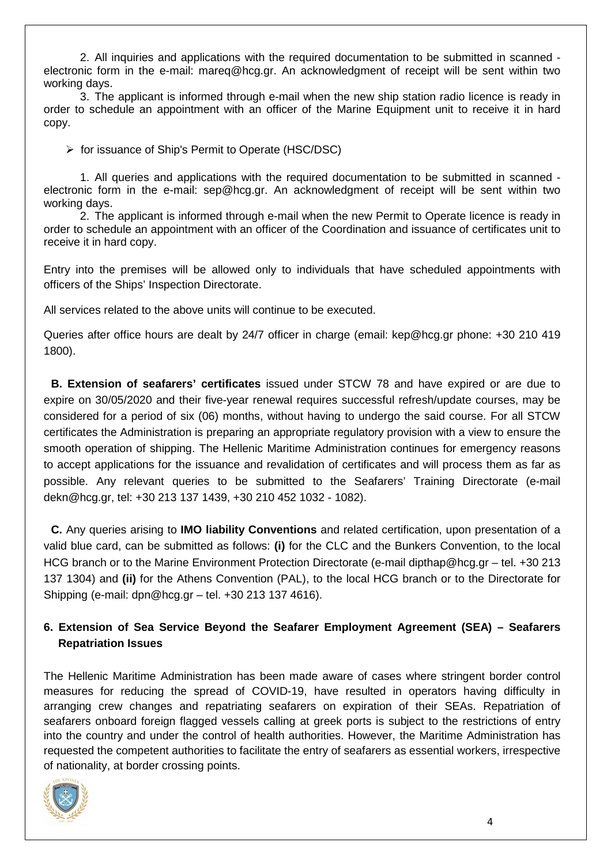2. All inquiries and applications with the required documentation to be submitted in scanned electronic form in the e-mail: mareq@hcg.gr. An acknowledgment of receipt will be sent within two working days.

3. The applicant is informed through e-mail when the new ship station radio licence is ready in order to schedule an appointment with an officer of the Marine Equipment unit to receive it in hard copy.

 $\triangleright$  for issuance of Ship's Permit to Operate (HSC/DSC)

1. All queries and applications with the required documentation to be submitted in scanned electronic form in the e-mail: sep@hcg.gr. An acknowledgment of receipt will be sent within two working days.

2. The applicant is informed through e-mail when the new Permit to Operate licence is ready in order to schedule an appointment with an officer of the Coordination and issuance of certificates unit to receive it in hard copy.

Entry into the premises will be allowed only to individuals that have scheduled appointments with officers of the Ships' Inspection Directorate.

All services related to the above units will continue to be executed.

Queries after office hours are dealt by 24/7 officer in charge (email: kep@hcg.gr phone: +30 210 419 1800).

**B. Extension of seafarers' certificates** issued under STCW 78 and have expired or are due to expire on 30/05/2020 and their five-year renewal requires successful refresh/update courses, may be considered for a period of six (06) months, without having to undergo the said course. For all STCW certificates the Administration is preparing an appropriate regulatory provision with a view to ensure the smooth operation of shipping. The Hellenic Maritime Administration continues for emergency reasons to accept applications for the issuance and revalidation of certificates and will process them as far as possible. Any relevant queries to be submitted to the Seafarers' Training Directorate (e-mail dekn@hcg.gr, tel: +30 213 137 1439, +30 210 452 1032 - 1082).

**C.** Any queries arising to **IMO liability Conventions** and related certification, upon presentation of a valid blue card, can be submitted as follows: **(i)** for the CLC and the Bunkers Convention, to the local HCG branch or to the Marine Environment Protection Directorate (e-mail dipthap@hcg.gr – tel. +30 213 137 1304) and **(ii)** for the Athens Convention (PAL), to the local HCG branch or to the Directorate for Shipping (e-mail: dpn@hcg.gr – tel. +30 213 137 4616).

# **6. Extension of Sea Service Beyond the Seafarer Employment Agreement (SEA) – Seafarers Repatriation Issues**

The Hellenic Maritime Administration has been made aware of cases where stringent border control measures for reducing the spread of COVID-19, have resulted in operators having difficulty in arranging crew changes and repatriating seafarers on expiration of their SEAs. Repatriation of seafarers onboard foreign flagged vessels calling at greek ports is subject to the restrictions of entry into the country and under the control of health authorities. However, the Maritime Administration has requested the competent authorities to facilitate the entry of seafarers as essential workers, irrespective of nationality, at border crossing points.